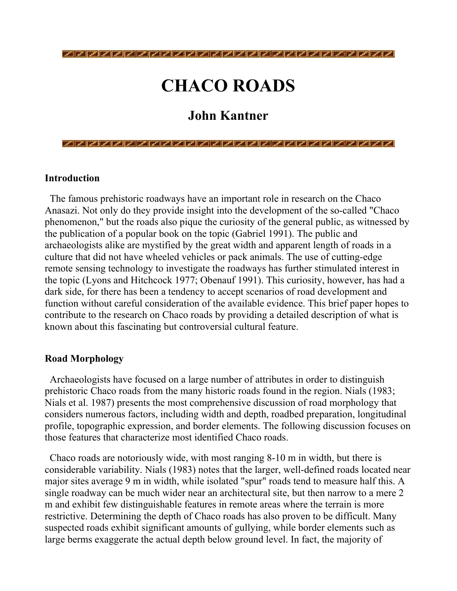# CHACO ROADS

# John Kantner

#### Introduction

 The famous prehistoric roadways have an important role in research on the Chaco Anasazi. Not only do they provide insight into the development of the so-called "Chaco phenomenon," but the roads also pique the curiosity of the general public, as witnessed by the publication of a popular book on the topic (Gabriel 1991). The public and archaeologists alike are mystified by the great width and apparent length of roads in a culture that did not have wheeled vehicles or pack animals. The use of cutting-edge remote sensing technology to investigate the roadways has further stimulated interest in the topic (Lyons and Hitchcock 1977; Obenauf 1991). This curiosity, however, has had a dark side, for there has been a tendency to accept scenarios of road development and function without careful consideration of the available evidence. This brief paper hopes to contribute to the research on Chaco roads by providing a detailed description of what is known about this fascinating but controversial cultural feature.

#### Road Morphology

 Archaeologists have focused on a large number of attributes in order to distinguish prehistoric Chaco roads from the many historic roads found in the region. Nials (1983; Nials et al. 1987) presents the most comprehensive discussion of road morphology that considers numerous factors, including width and depth, roadbed preparation, longitudinal profile, topographic expression, and border elements. The following discussion focuses on those features that characterize most identified Chaco roads.

 Chaco roads are notoriously wide, with most ranging 8-10 m in width, but there is considerable variability. Nials (1983) notes that the larger, well-defined roads located near major sites average 9 m in width, while isolated "spur" roads tend to measure half this. A single roadway can be much wider near an architectural site, but then narrow to a mere 2 m and exhibit few distinguishable features in remote areas where the terrain is more restrictive. Determining the depth of Chaco roads has also proven to be difficult. Many suspected roads exhibit significant amounts of gullying, while border elements such as large berms exaggerate the actual depth below ground level. In fact, the majority of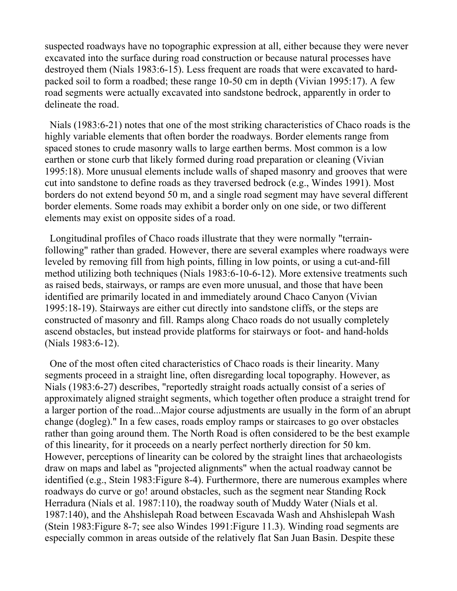suspected roadways have no topographic expression at all, either because they were never excavated into the surface during road construction or because natural processes have destroyed them (Nials 1983:6-15). Less frequent are roads that were excavated to hardpacked soil to form a roadbed; these range 10-50 cm in depth (Vivian 1995:17). A few road segments were actually excavated into sandstone bedrock, apparently in order to delineate the road.

 Nials (1983:6-21) notes that one of the most striking characteristics of Chaco roads is the highly variable elements that often border the roadways. Border elements range from spaced stones to crude masonry walls to large earthen berms. Most common is a low earthen or stone curb that likely formed during road preparation or cleaning (Vivian 1995:18). More unusual elements include walls of shaped masonry and grooves that were cut into sandstone to define roads as they traversed bedrock (e.g., Windes 1991). Most borders do not extend beyond 50 m, and a single road segment may have several different border elements. Some roads may exhibit a border only on one side, or two different elements may exist on opposite sides of a road.

 Longitudinal profiles of Chaco roads illustrate that they were normally "terrainfollowing" rather than graded. However, there are several examples where roadways were leveled by removing fill from high points, filling in low points, or using a cut-and-fill method utilizing both techniques (Nials 1983:6-10-6-12). More extensive treatments such as raised beds, stairways, or ramps are even more unusual, and those that have been identified are primarily located in and immediately around Chaco Canyon (Vivian 1995:18-19). Stairways are either cut directly into sandstone cliffs, or the steps are constructed of masonry and fill. Ramps along Chaco roads do not usually completely ascend obstacles, but instead provide platforms for stairways or foot- and hand-holds (Nials 1983:6-12).

 One of the most often cited characteristics of Chaco roads is their linearity. Many segments proceed in a straight line, often disregarding local topography. However, as Nials (1983:6-27) describes, "reportedly straight roads actually consist of a series of approximately aligned straight segments, which together often produce a straight trend for a larger portion of the road...Major course adjustments are usually in the form of an abrupt change (dogleg)." In a few cases, roads employ ramps or staircases to go over obstacles rather than going around them. The North Road is often considered to be the best example of this linearity, for it proceeds on a nearly perfect northerly direction for 50 km. However, perceptions of linearity can be colored by the straight lines that archaeologists draw on maps and label as "projected alignments" when the actual roadway cannot be identified (e.g., Stein 1983:Figure 8-4). Furthermore, there are numerous examples where roadways do curve or go! around obstacles, such as the segment near Standing Rock Herradura (Nials et al. 1987:110), the roadway south of Muddy Water (Nials et al. 1987:140), and the Ahshislepah Road between Escavada Wash and Ahshislepah Wash (Stein 1983:Figure 8-7; see also Windes 1991:Figure 11.3). Winding road segments are especially common in areas outside of the relatively flat San Juan Basin. Despite these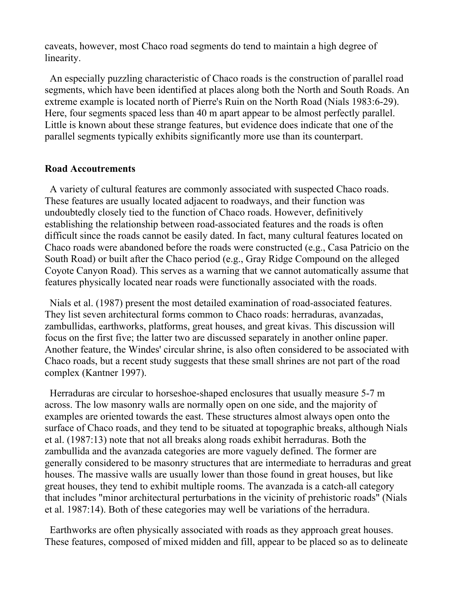caveats, however, most Chaco road segments do tend to maintain a high degree of linearity.

 An especially puzzling characteristic of Chaco roads is the construction of parallel road segments, which have been identified at places along both the North and South Roads. An extreme example is located north of Pierre's Ruin on the North Road (Nials 1983:6-29). Here, four segments spaced less than 40 m apart appear to be almost perfectly parallel. Little is known about these strange features, but evidence does indicate that one of the parallel segments typically exhibits significantly more use than its counterpart.

#### Road Accoutrements

 A variety of cultural features are commonly associated with suspected Chaco roads. These features are usually located adjacent to roadways, and their function was undoubtedly closely tied to the function of Chaco roads. However, definitively establishing the relationship between road-associated features and the roads is often difficult since the roads cannot be easily dated. In fact, many cultural features located on Chaco roads were abandoned before the roads were constructed (e.g., Casa Patricio on the South Road) or built after the Chaco period (e.g., Gray Ridge Compound on the alleged Coyote Canyon Road). This serves as a warning that we cannot automatically assume that features physically located near roads were functionally associated with the roads.

 Nials et al. (1987) present the most detailed examination of road-associated features. They list seven architectural forms common to Chaco roads: herraduras, avanzadas, zambullidas, earthworks, platforms, great houses, and great kivas. This discussion will focus on the first five; the latter two are discussed separately in another online paper. Another feature, the Windes' circular shrine, is also often considered to be associated with Chaco roads, but a recent study suggests that these small shrines are not part of the road complex (Kantner 1997).

 Herraduras are circular to horseshoe-shaped enclosures that usually measure 5-7 m across. The low masonry walls are normally open on one side, and the majority of examples are oriented towards the east. These structures almost always open onto the surface of Chaco roads, and they tend to be situated at topographic breaks, although Nials et al. (1987:13) note that not all breaks along roads exhibit herraduras. Both the zambullida and the avanzada categories are more vaguely defined. The former are generally considered to be masonry structures that are intermediate to herraduras and great houses. The massive walls are usually lower than those found in great houses, but like great houses, they tend to exhibit multiple rooms. The avanzada is a catch-all category that includes "minor architectural perturbations in the vicinity of prehistoric roads" (Nials et al. 1987:14). Both of these categories may well be variations of the herradura.

 Earthworks are often physically associated with roads as they approach great houses. These features, composed of mixed midden and fill, appear to be placed so as to delineate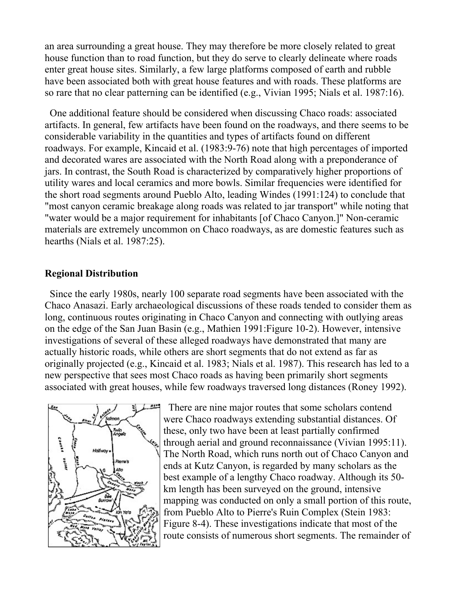an area surrounding a great house. They may therefore be more closely related to great house function than to road function, but they do serve to clearly delineate where roads enter great house sites. Similarly, a few large platforms composed of earth and rubble have been associated both with great house features and with roads. These platforms are so rare that no clear patterning can be identified (e.g., Vivian 1995; Nials et al. 1987:16).

 One additional feature should be considered when discussing Chaco roads: associated artifacts. In general, few artifacts have been found on the roadways, and there seems to be considerable variability in the quantities and types of artifacts found on different roadways. For example, Kincaid et al. (1983:9-76) note that high percentages of imported and decorated wares are associated with the North Road along with a preponderance of jars. In contrast, the South Road is characterized by comparatively higher proportions of utility wares and local ceramics and more bowls. Similar frequencies were identified for the short road segments around Pueblo Alto, leading Windes (1991:124) to conclude that "most canyon ceramic breakage along roads was related to jar transport" while noting that "water would be a major requirement for inhabitants [of Chaco Canyon.]" Non-ceramic materials are extremely uncommon on Chaco roadways, as are domestic features such as hearths (Nials et al. 1987:25).

#### Regional Distribution

 Since the early 1980s, nearly 100 separate road segments have been associated with the Chaco Anasazi. Early archaeological discussions of these roads tended to consider them as long, continuous routes originating in Chaco Canyon and connecting with outlying areas on the edge of the San Juan Basin (e.g., Mathien 1991:Figure 10-2). However, intensive investigations of several of these alleged roadways have demonstrated that many are actually historic roads, while others are short segments that do not extend as far as originally projected (e.g., Kincaid et al. 1983; Nials et al. 1987). This research has led to a new perspective that sees most Chaco roads as having been primarily short segments associated with great houses, while few roadways traversed long distances (Roney 1992).



 There are nine major routes that some scholars contend were Chaco roadways extending substantial distances. Of these, only two have been at least partially confirmed through aerial and ground reconnaissance (Vivian 1995:11). The North Road, which runs north out of Chaco Canyon and ends at Kutz Canyon, is regarded by many scholars as the best example of a lengthy Chaco roadway. Although its 50 km length has been surveyed on the ground, intensive mapping was conducted on only a small portion of this route, from Pueblo Alto to Pierre's Ruin Complex (Stein 1983: Figure 8-4). These investigations indicate that most of the route consists of numerous short segments. The remainder of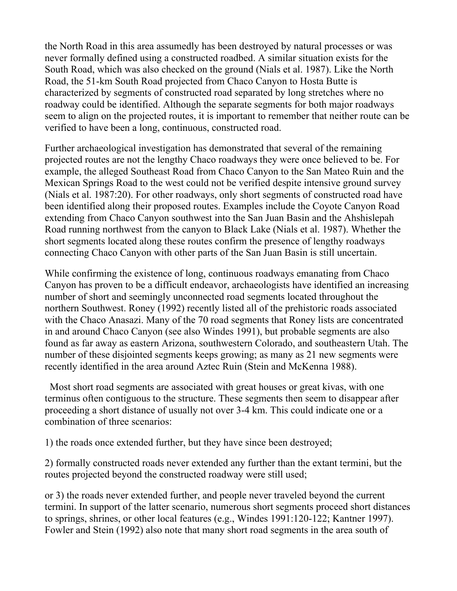the North Road in this area assumedly has been destroyed by natural processes or was never formally defined using a constructed roadbed. A similar situation exists for the South Road, which was also checked on the ground (Nials et al. 1987). Like the North Road, the 51-km South Road projected from Chaco Canyon to Hosta Butte is characterized by segments of constructed road separated by long stretches where no roadway could be identified. Although the separate segments for both major roadways seem to align on the projected routes, it is important to remember that neither route can be verified to have been a long, continuous, constructed road.

Further archaeological investigation has demonstrated that several of the remaining projected routes are not the lengthy Chaco roadways they were once believed to be. For example, the alleged Southeast Road from Chaco Canyon to the San Mateo Ruin and the Mexican Springs Road to the west could not be verified despite intensive ground survey (Nials et al. 1987:20). For other roadways, only short segments of constructed road have been identified along their proposed routes. Examples include the Coyote Canyon Road extending from Chaco Canyon southwest into the San Juan Basin and the Ahshislepah Road running northwest from the canyon to Black Lake (Nials et al. 1987). Whether the short segments located along these routes confirm the presence of lengthy roadways connecting Chaco Canyon with other parts of the San Juan Basin is still uncertain.

While confirming the existence of long, continuous roadways emanating from Chaco Canyon has proven to be a difficult endeavor, archaeologists have identified an increasing number of short and seemingly unconnected road segments located throughout the northern Southwest. Roney (1992) recently listed all of the prehistoric roads associated with the Chaco Anasazi. Many of the 70 road segments that Roney lists are concentrated in and around Chaco Canyon (see also Windes 1991), but probable segments are also found as far away as eastern Arizona, southwestern Colorado, and southeastern Utah. The number of these disjointed segments keeps growing; as many as 21 new segments were recently identified in the area around Aztec Ruin (Stein and McKenna 1988).

 Most short road segments are associated with great houses or great kivas, with one terminus often contiguous to the structure. These segments then seem to disappear after proceeding a short distance of usually not over 3-4 km. This could indicate one or a combination of three scenarios:

1) the roads once extended further, but they have since been destroyed;

2) formally constructed roads never extended any further than the extant termini, but the routes projected beyond the constructed roadway were still used;

or 3) the roads never extended further, and people never traveled beyond the current termini. In support of the latter scenario, numerous short segments proceed short distances to springs, shrines, or other local features (e.g., Windes 1991:120-122; Kantner 1997). Fowler and Stein (1992) also note that many short road segments in the area south of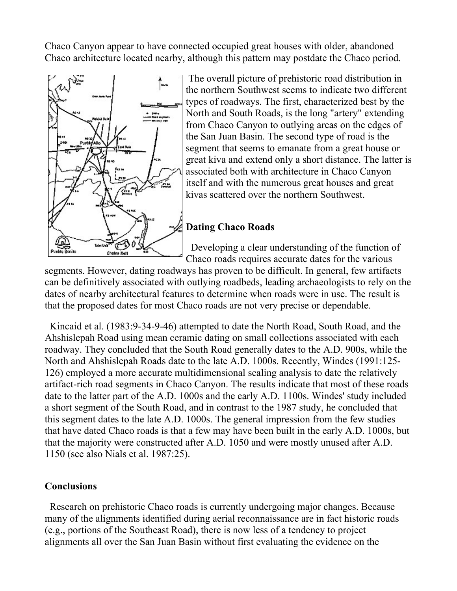Chaco Canyon appear to have connected occupied great houses with older, abandoned Chaco architecture located nearby, although this pattern may postdate the Chaco period.



 The overall picture of prehistoric road distribution in the northern Southwest seems to indicate two different types of roadways. The first, characterized best by the North and South Roads, is the long "artery" extending from Chaco Canyon to outlying areas on the edges of the San Juan Basin. The second type of road is the segment that seems to emanate from a great house or great kiva and extend only a short distance. The latter is associated both with architecture in Chaco Canyon itself and with the numerous great houses and great kivas scattered over the northern Southwest.

## Dating Chaco Roads

 Developing a clear understanding of the function of Chaco roads requires accurate dates for the various

segments. However, dating roadways has proven to be difficult. In general, few artifacts can be definitively associated with outlying roadbeds, leading archaeologists to rely on the dates of nearby architectural features to determine when roads were in use. The result is that the proposed dates for most Chaco roads are not very precise or dependable.

 Kincaid et al. (1983:9-34-9-46) attempted to date the North Road, South Road, and the Ahshislepah Road using mean ceramic dating on small collections associated with each roadway. They concluded that the South Road generally dates to the A.D. 900s, while the North and Ahshislepah Roads date to the late A.D. 1000s. Recently, Windes (1991:125- 126) employed a more accurate multidimensional scaling analysis to date the relatively artifact-rich road segments in Chaco Canyon. The results indicate that most of these roads date to the latter part of the A.D. 1000s and the early A.D. 1100s. Windes' study included a short segment of the South Road, and in contrast to the 1987 study, he concluded that this segment dates to the late A.D. 1000s. The general impression from the few studies that have dated Chaco roads is that a few may have been built in the early A.D. 1000s, but that the majority were constructed after A.D. 1050 and were mostly unused after A.D. 1150 (see also Nials et al. 1987:25).

#### Conclusions

 Research on prehistoric Chaco roads is currently undergoing major changes. Because many of the alignments identified during aerial reconnaissance are in fact historic roads (e.g., portions of the Southeast Road), there is now less of a tendency to project alignments all over the San Juan Basin without first evaluating the evidence on the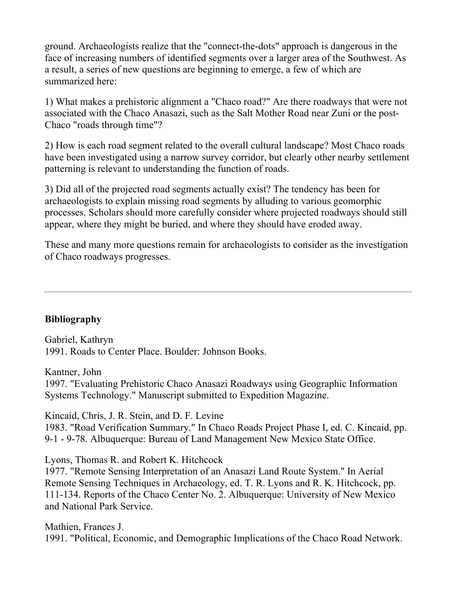ground. Archaeologists realize that the "connect-the-dots" approach is dangerous in the face of increasing numbers of identified segments over a larger area of the Southwest. As a result, a series of new questions are beginning to emerge, a few of which are summarized here:

1) What makes a prehistoric alignment a "Chaco road?" Are there roadways that were not associated with the Chaco Anasazi, such as the Salt Mother Road near Zuni or the post-Chaco "roads through time"?

2) How is each road segment related to the overall cultural landscape? Most Chaco roads have been investigated using a narrow survey corridor, but clearly other nearby settlement patterning is relevant to understanding the function of roads.

3) Did all of the projected road segments actually exist? The tendency has been for archaeologists to explain missing road segments by alluding to various geomorphic processes. Scholars should more carefully consider where projected roadways should still appear, where they might be buried, and where they should have eroded away.

These and many more questions remain for archaeologists to consider as the investigation of Chaco roadways progresses.

### Bibliography

Gabriel, Kathryn 1991. Roads to Center Place. Boulder: Johnson Books.

Kantner, John

1997. "Evaluating Prehistoric Chaco Anasazi Roadways using Geographic Information Systems Technology." Manuscript submitted to Expedition Magazine.

Kincaid, Chris, J. R. Stein, and D. F. Levine

1983. "Road Verification Summary." In Chaco Roads Project Phase I, ed. C. Kincaid, pp. 9-1 - 9-78. Albuquerque: Bureau of Land Management New Mexico State Office.

Lyons, Thomas R. and Robert K. Hitchcock

1977. "Remote Sensing Interpretation of an Anasazi Land Route System." In Aerial Remote Sensing Techniques in Archaeology, ed. T. R. Lyons and R. K. Hitchcock, pp. 111-134. Reports of the Chaco Center No. 2. Albuquerque: University of New Mexico and National Park Service.

Mathien, Frances J. 1991. "Political, Economic, and Demographic Implications of the Chaco Road Network.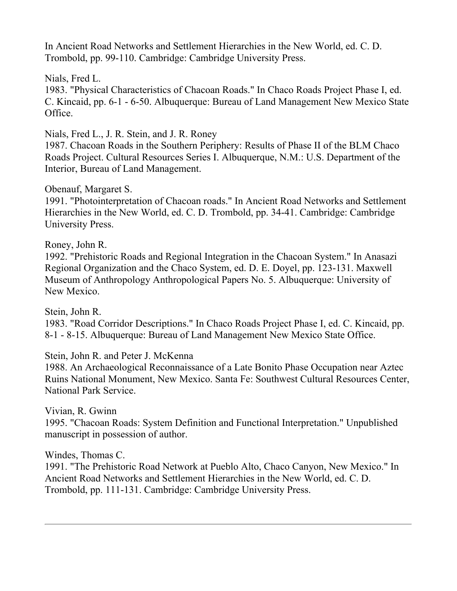In Ancient Road Networks and Settlement Hierarchies in the New World, ed. C. D. Trombold, pp. 99-110. Cambridge: Cambridge University Press.

Nials, Fred L.

1983. "Physical Characteristics of Chacoan Roads." In Chaco Roads Project Phase I, ed. C. Kincaid, pp. 6-1 - 6-50. Albuquerque: Bureau of Land Management New Mexico State Office.

Nials, Fred L., J. R. Stein, and J. R. Roney

1987. Chacoan Roads in the Southern Periphery: Results of Phase II of the BLM Chaco Roads Project. Cultural Resources Series I. Albuquerque, N.M.: U.S. Department of the Interior, Bureau of Land Management.

Obenauf, Margaret S.

1991. "Photointerpretation of Chacoan roads." In Ancient Road Networks and Settlement Hierarchies in the New World, ed. C. D. Trombold, pp. 34-41. Cambridge: Cambridge University Press.

Roney, John R.

1992. "Prehistoric Roads and Regional Integration in the Chacoan System." In Anasazi Regional Organization and the Chaco System, ed. D. E. Doyel, pp. 123-131. Maxwell Museum of Anthropology Anthropological Papers No. 5. Albuquerque: University of New Mexico.

Stein, John R.

1983. "Road Corridor Descriptions." In Chaco Roads Project Phase I, ed. C. Kincaid, pp. 8-1 - 8-15. Albuquerque: Bureau of Land Management New Mexico State Office.

Stein, John R. and Peter J. McKenna

1988. An Archaeological Reconnaissance of a Late Bonito Phase Occupation near Aztec Ruins National Monument, New Mexico. Santa Fe: Southwest Cultural Resources Center, National Park Service.

Vivian, R. Gwinn

1995. "Chacoan Roads: System Definition and Functional Interpretation." Unpublished manuscript in possession of author.

Windes, Thomas C.

1991. "The Prehistoric Road Network at Pueblo Alto, Chaco Canyon, New Mexico." In Ancient Road Networks and Settlement Hierarchies in the New World, ed. C. D. Trombold, pp. 111-131. Cambridge: Cambridge University Press.